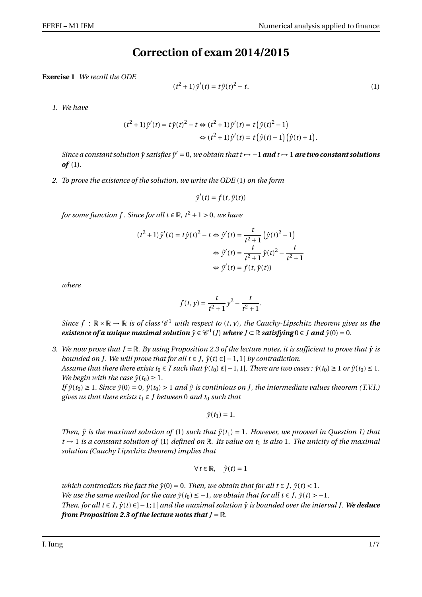## **Correction of exam 2014/2015**

**Exercise 1** *We recall the ODE*

$$
(t2 + 1)\hat{y}'(t) = t\hat{y}(t)2 - t.
$$
 (1)

*1. We have*

$$
(t^{2}+1)\hat{y}'(t) = t\hat{y}(t)^{2} - t \Leftrightarrow (t^{2}+1)\hat{y}'(t) = t(\hat{y}(t)^{2}-1)
$$

$$
\Leftrightarrow (t^{2}+1)\hat{y}'(t) = t(\hat{y}(t)-1)(\hat{y}(t)+1).
$$

*Since a constant solution*  $\hat{y}$  *satisfies*  $\hat{y}' = 0$ , we obtain that  $t \mapsto -1$  **and**  $t \mapsto 1$  **are two constant solutions** *of* (1)*.*

*2. To prove the existence of the solution, we write the ODE* (1) *on the form*

$$
\hat{y}'(t) = f(t, \hat{y}(t))
$$

*for some function f . Since for all t*  $\in \mathbb{R}$ ,  $t^2 + 1 > 0$ , we have

$$
(t^{2}+1)\hat{y}'(t) = t\hat{y}(t)^{2} - t \Leftrightarrow \hat{y}'(t) = \frac{t}{t^{2}+1} \left(\hat{y}(t)^{2}-1\right)
$$

$$
\Leftrightarrow \hat{y}'(t) = \frac{t}{t^{2}+1} \hat{y}(t)^{2} - \frac{t}{t^{2}+1}
$$

$$
\Leftrightarrow \hat{y}'(t) = f(t, \hat{y}(t))
$$

*where*

$$
f(t, y) = \frac{t}{t^2 + 1}y^2 - \frac{t}{t^2 + 1}
$$

.

*Since*  $f : \mathbb{R} \times \mathbb{R} \to \mathbb{R}$  *is of class*  $\mathcal{C}^1$  *with respect to*  $(t, y)$ *, the Cauchy-Lipschitz theorem gives us the existence of a unique maximal solution*  $\hat{y} \in C^1(J)$  *where*  $J \subset \mathbb{R}$  *satisfying*  $0 \in J$  *and*  $\hat{y}(0) = 0$ *.* 

*3.* We now prove that  $J = \mathbb{R}$ . By using Proposition 2.3 of the lecture notes, it is sufficient to prove that  $\hat{y}$  is *bounded on J. We will prove that for all*  $t \in J$ *,*  $\hat{y}(t) \in ]-1,1[$  *<i>by contradiction. Assume that there there exists*  $t_0 \in J$  *such that*  $\hat{y}(t_0) \notin ]-1,1[$ *. There are two cases :*  $\hat{y}(t_0) \geq 1$  *or*  $\hat{y}(t_0) \leq 1$ *.* 

*We begin with the case*  $\hat{v}(t_0) \geq 1$ *. If*  $\hat{y}(t_0) \geq 1$ . *Since*  $\hat{y}(0) = 0$ ,  $\hat{y}(t_0) > 1$  *and*  $\hat{y}$  *is continious on J, the intermediate values theorem* (*T.V.I.*) *gives us that there exists*  $t_1 \in J$  *between* 0 *and*  $t_0$  *such that* 

$$
\hat{y}(t_1)=1.
$$

*Then,*  $\hat{y}$  *is the maximal solution of* (1) *such that*  $\hat{y}(t_1) = 1$ *. However, we prooved in Question 1) that*  $t \mapsto 1$  *is a constant solution of* (1) *defined on* R*. Its value on*  $t_1$  *is also* 1*. The unicity of the maximal solution (Cauchy Lipschitz theorem) implies that*

$$
\forall t \in \mathbb{R}, \quad \hat{y}(t) = 1
$$

*which contracdicts the fact the*  $\hat{v}(0) = 0$ *. Then, we obtain that for all t* ∈ *J*,  $\hat{v}(t)$  < 1*. We use the same method for the case*  $\hat{y}(t_0) \leq -1$ *, we obtain that for all t*  $\in$  *J*,  $\hat{y}(t)$  > -1. *Then, for all t* ∈ *J,*  $\hat{y}(t) \in ]-1;1[$  *and the maximal solution*  $\hat{y}$  *is bounded over the interval J. We deduce from Proposition 2.3 of the lecture notes that J* = R.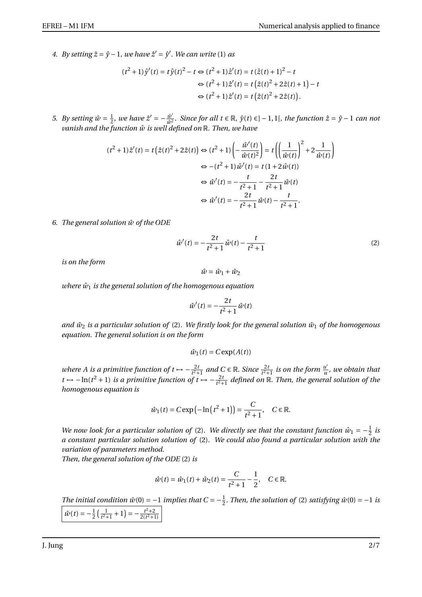*4. By setting*  $\hat{z} = \hat{y} - 1$ *, we have*  $\hat{z}' = \hat{y}'$ *. We can write* (1) *as* 

$$
(t^2+1)\hat{y}'(t) = t\hat{y}(t)^2 - t \Leftrightarrow (t^2+1)\hat{z}'(t) = t(\hat{z}(t)+1)^2 - t
$$
  

$$
\Leftrightarrow (t^2+1)\hat{z}'(t) = t(\hat{z}(t)^2 + 2\hat{z}(t) + 1) - t
$$
  

$$
\Leftrightarrow (t^2+1)\hat{z}'(t) = t(\hat{z}(t)^2 + 2\hat{z}(t)).
$$

*5. By setting*  $\hat{w} = \frac{1}{2}$ *, we have*  $\hat{z}' = -\frac{\hat{w}'}{\hat{w}^2}$ *<u><i>ŵ'</del> since for all t* ∈ ℝ,  $\hat{y}(t)$  ∈] − 1, 1[*, the function*  $\hat{z} = \hat{y} - 1$  *can not*</u> *vanish and the function*  $\hat{w}$  *is well defined on*  $\mathbb{R}$ *. Then, we have* 

$$
(t^2+1)\hat{z}'(t) = t(\hat{z}(t)^2 + 2\hat{z}(t)) \Leftrightarrow (t^2+1) \left( -\frac{\hat{w}'(t)}{\hat{w}(t)^2} \right) = t \left( \left( \frac{1}{\hat{w}(t)} \right)^2 + 2\frac{1}{\hat{w}(t)} \right)
$$

$$
\Leftrightarrow -(t^2+1)\hat{w}'(t) = t(1+2\hat{w}(t))
$$

$$
\Leftrightarrow \hat{w}'(t) = -\frac{t}{t^2+1} - \frac{2t}{t^2+1}\hat{w}(t)
$$

$$
\Leftrightarrow \hat{w}'(t) = -\frac{2t}{t^2+1}\hat{w}(t) - \frac{t}{t^2+1}.
$$

*6. The general solution w of the ODE* ˆ

$$
\hat{w}'(t) = -\frac{2t}{t^2 + 1}\hat{w}(t) - \frac{t}{t^2 + 1}
$$
\n(2)

*is on the form*

$$
\hat{w} = \hat{w}_1 + \hat{w}_2
$$

*where*  $\hat{w}_1$  *is the general solution of the homogenous equation* 

$$
\hat{w}'(t) = -\frac{2t}{t^2 + 1}\hat{w}(t)
$$

*and*  $\hat{w}_2$  *is a particular solution of* (2). We firstly look for the general solution  $\hat{w}_1$  of the homogenous *equation. The general solution is on the form*

$$
\hat{w}_1(t) = C \exp(A(t))
$$

*where A is a primitive function of t*  $\rightarrow -\frac{2t}{t^2}$  $\frac{2t}{t^2+1}$  and  $C \in \mathbb{R}$ . *Since*  $\frac{2t}{t^2+1}$  *is on the form*  $\frac{u^i}{u}$  $\frac{u}{u}$ *, we obtain that t* →  $-\ln(t^2 + 1)$  *is a primitive function of t* →  $-\frac{2t}{t^2+1}$  $\frac{2t}{t^2+1}$  defined on  $\mathbb R$ . Then, the general solution of the *homogenous equation is*

$$
\hat{w}_1(t) = C \exp(-\ln(t^2 + 1)) = \frac{C}{t^2 + 1}, \quad C \in \mathbb{R}.
$$

*We now look for a particular solution of* (2). *We directly see that the constant function*  $\hat{w}_1 = -\frac{1}{2}$  $rac{1}{2}$  *is a constant particular solution solution of* (2)*. We could also found a particular solution with the variation of parameters method.*

*Then, the general solution of the ODE* (2) *is*

$$
\hat{w}(t) = \hat{w}_1(t) + \hat{w}_2(t) = \frac{C}{t^2 + 1} - \frac{1}{2}, \quad C \in \mathbb{R}.
$$

*The initial condition*  $\hat{w}(0) = -1$  *implies that*  $C = -\frac{1}{2}$  $\frac{1}{2}$ . *Then, the solution of* (2) *satisfying*  $\hat{w}(0) = -1$  *is*  $\hat{w}(t) = -\frac{1}{2}$  $rac{1}{2}(\frac{1}{t^2+1})$  $\frac{1}{t^2+1}+1$ ) =  $-\frac{t^2+2}{2(t^2+1)}$  $\frac{2(t^2+1)}{2}$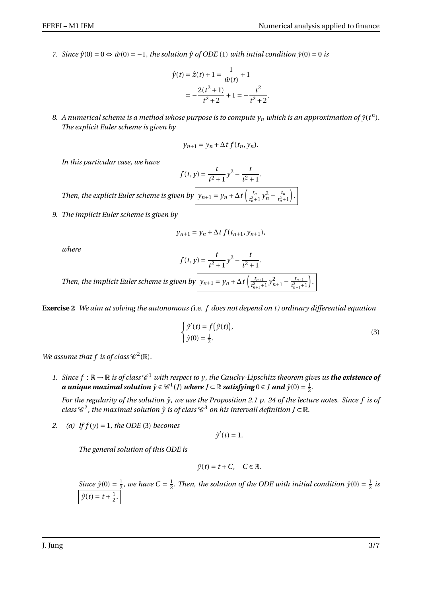*7. Since*  $\hat{y}(0) = 0 \Leftrightarrow \hat{w}(0) = -1$ , the solution  $\hat{y}$  of ODE (1) *with intial condition*  $\hat{y}(0) = 0$  *is* 

$$
\hat{y}(t) = \hat{z}(t) + 1 = \frac{1}{\hat{w}(t)} + 1
$$

$$
= -\frac{2(t^2 + 1)}{t^2 + 2} + 1 = -\frac{t^2}{t^2 + 2}
$$

.

*t*

8. A numerical scheme is a method whose purpose is to compute  $y_n$  which is an approximation of  $\hat{y}(t^n)$ . *The explicit Euler scheme is given by*

$$
y_{n+1} = y_n + \Delta t f(t_n, y_n).
$$

*In this particular case, we have*

$$
f(t, y) = \frac{t}{t^2 + 1} y^2 - \frac{t}{t^2 + 1}.
$$
  
Then, the explicit Euler scheme is given by  $y_{n+1} = y_n + \Delta t \left( \frac{t_n}{t_n^2 + 1} y_n^2 - \frac{t_n}{t_n^2 + 1} \right).$ 

*9. The implicit Euler scheme is given by*

$$
y_{n+1} = y_n + \Delta t f(t_{n+1}, y_{n+1}),
$$

*where*

$$
f(t, y) = \frac{t}{t^2 + 1}y^2 - \frac{t}{t^2 + 1}.
$$

*Then, the implicit Euler scheme is given by*  $y_{n+1} = y_n + \Delta t \left( \frac{t_{n+1}}{t_{n+1}^2} \right)$  $\frac{t_{n+1}}{t_{n+1}^2+1} y_{n+1}^2 - \frac{t_{n+1}}{t_{n+1}^2+1}$  $\frac{t_{n+1}^2+1}{t_{n+1}^2+1}$ ´ .

**Exercise 2** *We aim at solving the autonomous (*i.e. *f does not depend on t ) ordinary differential equation*

$$
\begin{cases}\n\hat{y}'(t) = f(\hat{y}(t)), \\
\hat{y}(0) = \frac{1}{2}.\n\end{cases}
$$
\n(3)

*We assume that f is of class*  $\mathscr{C}^2(\mathbb{R})$ *.* 

1. Since  $f : \mathbb{R} \to \mathbb{R}$  is of class  $\mathscr{C}^1$  with respect to y, the Cauchy-Lipschitz theorem gives us **the existence of** a unique maximal solution  $\hat{y}\in \mathscr{C}^1(J)$  where  $J\subset \mathbb{R}$  satisfying  $0\in J$  and  $\hat{y}(0)=\frac{1}{2}$  $rac{1}{2}$ .

*For the regularity of the solution*  $\hat{y}$ *, we use the Proposition 2.1 p. 24 of the lecture notes. Since f is of* class  $\mathscr C^2$ , the maximal solution  $\hat y$  is of class  $\mathscr C^3$  on his intervall definition J ⊂  $\mathbb R.$ 

*2. (a) If f* (*y*) = 1*, the ODE* (3) *becomes*

 $\hat{y}'(t) = 1.$ 

*The general solution of this ODE is*

$$
\hat{y}(t) = t + C, \quad C \in \mathbb{R}.
$$

*Since*  $\hat{y}(0) = \frac{1}{2}$  $\frac{1}{2}$ , we have  $C = \frac{1}{2}$  $\frac{1}{2}$ . *Then, the solution of the ODE with initial condition*  $\hat{y}(0) = \frac{1}{2}$  $rac{1}{2}$  *is*  $\hat{y}(t) = t + \frac{1}{2}$  $rac{1}{2}$ .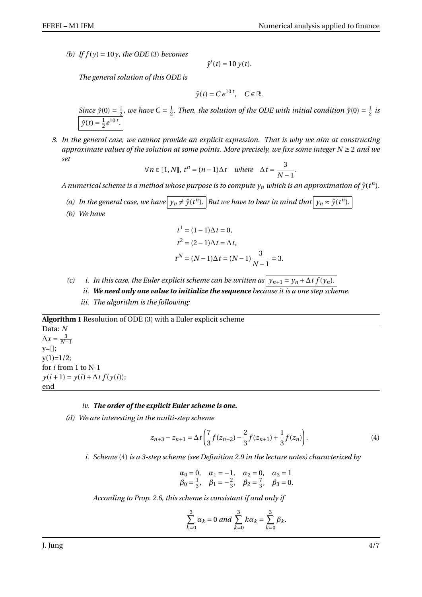(b) If  $f(y) = 10y$ , the ODE (3) becomes

$$
\hat{y}'(t) = 10 y(t).
$$

*The general solution of this ODE is*

$$
\hat{y}(t) = Ce^{10 t}, \quad C \in \mathbb{R}.
$$

*Since*  $\hat{y}(0) = \frac{1}{2}$  $\frac{1}{2}$ , we have  $C = \frac{1}{2}$  $\frac{1}{2}$ . *Then, the solution of the ODE with initial condition*  $\hat{y}(0) = \frac{1}{2}$  $rac{1}{2}$  *is*  $\hat{y}(t) = \frac{1}{2}$  $\frac{1}{2}e^{10t}$ .

*3. In the general case, we cannot provide an explicit expression. That is why we aim at constructing approximate values of the solution at some points. More precisely, we fixe some integer N* ≥ 2 *and we set*

$$
\forall n \in [1, N], t^n = (n-1)\Delta t \quad where \quad \Delta t = \frac{3}{N-1}.
$$

 $A$  numerical scheme is a method whose purpose is to compute  $y_n$  which is an approximation of  $\hat{y}(t^n)$ .

- *(a)* In the general case, we have  $y_n \neq \hat{y}(t^n)$ . But we have to bear in mind that  $y_n \approx \hat{y}(t^n)$ .
- *(b) We have*

$$
t1 = (1 - 1)\Delta t = 0,
$$
  
\n
$$
t2 = (2 - 1)\Delta t = \Delta t,
$$
  
\n
$$
tN = (N - 1)\Delta t = (N - 1)\frac{3}{N - 1} = 3.
$$

- *(c) i. In this case, the Euler explicit scheme can be written as*  $y_{n+1} = y_n + \Delta t f(y_n)$ .
	- *ii. We need only one value to initialize the sequence because it is a one step scheme. iii. The algorithm is the following:*
- 

**Algorithm 1** Resolution of ODE (3) with a Euler explicit scheme

Data: *N*  $\Delta x = \frac{3}{N-1}$ y=[];  $y(1)=1/2;$ for *i* from 1 to N-1 *y*(*i* + 1) = *y*(*i*) + ∆*t*  $f(y(i))$ ; end

## *iv. The order of the explicit Euler scheme is one.*

*(d) We are interesting in the multi-step scheme*

$$
z_{n+3} - z_{n+1} = \Delta t \left( \frac{7}{3} f(z_{n+2}) - \frac{2}{3} f(z_{n+1}) + \frac{1}{3} f(z_n) \right). \tag{4}
$$

*i. Scheme* (4) *is a 3-step scheme (see Definition 2.9 in the lecture notes) characterized by*

$$
\alpha_0 = 0
$$
,  $\alpha_1 = -1$ ,  $\alpha_2 = 0$ ,  $\alpha_3 = 1$   
\n $\beta_0 = \frac{1}{3}$ ,  $\beta_1 = -\frac{2}{3}$ ,  $\beta_2 = \frac{7}{3}$ ,  $\beta_3 = 0$ .

*According to Prop. 2.6, this scheme is consistant if and only if*

$$
\sum_{k=0}^{3} \alpha_k = 0 \text{ and } \sum_{k=0}^{3} k \alpha_k = \sum_{k=0}^{3} \beta_k.
$$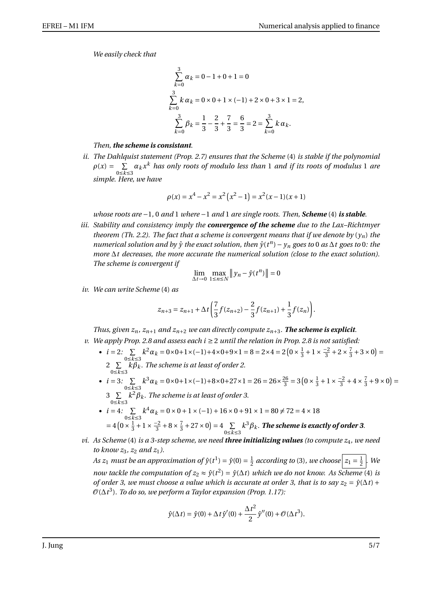*We easily check that*

$$
\sum_{k=0}^{3} \alpha_k = 0 - 1 + 0 + 1 = 0
$$
  

$$
\sum_{k=0}^{3} k \alpha_k = 0 \times 0 + 1 \times (-1) + 2 \times 0 + 3 \times 1 = 2,
$$
  

$$
\sum_{k=0}^{3} \beta_k = \frac{1}{3} - \frac{2}{3} + \frac{7}{3} = \frac{6}{3} = 2 = \sum_{k=0}^{3} k \alpha_k.
$$

## *Then, the scheme is consistant.*

*ii. The Dahlquist statement (Prop. 2.7) ensures that the Scheme* (4) *is stable if the polynomial*  $\rho(x) = \sum$  $\sum_{0 \le k \le 3} \alpha_k x^k$  has only roots of modulo less than 1 and if its roots of modulus 1 are *simple. Here, we have*

$$
\rho(x) = x^4 - x^2 = x^2 (x^2 - 1) = x^2 (x - 1)(x + 1)
$$

*whose roots are* −1*,* 0 *and* 1 *where* −1 *and* 1 *are single roots. Then, Scheme* (4) *is stable.*

*iii. Stability and consistency imply the convergence of the scheme due to the Lax–Richtmyer theorem (Th. 2.2). The fact that a scheme is convergent means that if we denote by*  $(y_n)$  the *numerical solution and by*  $\hat{y}$  *the exact solution, then*  $\hat{y}(t^n) - y_n$  goes to 0 *as*  $\Delta t$  goes to 0*: the more* ∆*t decreases, the more accurate the numerical solution (close to the exact solution). The scheme is convergent if*

$$
\lim_{\Delta t \to 0} \max_{1 \le n \le N} \|y_n - \hat{y}(t^n)\| = 0
$$

*iv. We can write Scheme* (4) *as*

$$
z_{n+3} = z_{n+1} + \Delta t \left( \frac{7}{3} f(z_{n+2}) - \frac{2}{3} f(z_{n+1}) + \frac{1}{3} f(z_n) \right).
$$

*Thus, given*  $z_n$ ,  $z_{n+1}$  *and*  $z_{n+2}$  *we can directly compute*  $z_{n+3}$ *. The scheme is explicit. v. We apply Prop. 2.8 and assess each i* ≥ 2 *until the relation in Prop. 2.8 is not satisfied:*

- $i = 2$ :  $\Sigma$ 0≤*k*≤3  $k^2 \alpha_k = 0 \times 0 + 1 \times (-1) + 4 \times 0 + 9 \times 1 = 8 = 2 \times 4 = 2 \left( 0 \times \frac{1}{3} \right)$  $\frac{1}{3} + 1 \times \frac{-2}{3}$  $\frac{-2}{3} + 2 \times \frac{7}{3}$  $(\frac{7}{3} + 3 \times 0) =$ 2  $\Sigma$  $\sum\limits_{0 \le k \le 3} k \beta_k$ . The scheme is at least of order 2.
- $i = 3: \sum_{i=1}^{n}$ 0≤*k*≤3  $k^3 \alpha_k = 0 \times 0 + 1 \times (-1) + 8 \times 0 + 27 \times 1 = 26 = 26 \times \frac{26}{3}$  $\frac{26}{3}$  = 3 (0 ×  $\frac{1}{3}$  $\frac{1}{3} + 1 \times \frac{-2}{3}$  $\frac{-2}{3} + 4 \times \frac{7}{3}$  $(\frac{7}{3} + 9 \times 0) =$ 3  $\Sigma$  $k^2\beta_k$ . The scheme is at least of order 3.
- 0≤*k*≤3 •  $i = 4$ :  $\Sigma$ 0≤*k*≤3  $k^4 \alpha_k = 0 \times 0 + 1 \times (-1) + 16 \times 0 + 91 \times 1 = 80 \neq 72 = 4 \times 18$  $= 4 \left( 0 \times \frac{1}{3} \right)$  $\frac{1}{3}+1 \times \frac{-2}{3}$  $\frac{-2}{3} + 8 \times \frac{7}{3}$  $(\frac{7}{3} + 27 \times 0) = 4 \sum_{n \leq k}$ 0≤*k*≤3  $k^3\beta_k$ . The scheme is exactly of order 3.
- *vi. As Scheme* (4) *is a 3-step scheme, we need three initializing values (to compute z*4*, we need to know*  $z_3$ *,*  $z_2$  *and*  $z_1$ *).*

*As z*<sub>1</sub> *must be an approximation of*  $\hat{y}(t^1) = \hat{y}(0) = \frac{1}{2}$  $\frac{1}{2}$  according to (3), we choose  $z_1 = \frac{1}{2}$  $\frac{1}{2}$ . We *now tackle the computation of*  $z_2 \approx \hat{y}(t^2) = \hat{y}(\Delta t)$  *which we do not know. As Scheme* (4) *is of order 3, we must choose a value which is accurate at order 3, that is to say*  $z_2 = \hat{y}(\Delta t) +$ O(∆*t* 3 )*. To do so, we perform a Taylor expansion (Prop. 1.17):*

$$
\hat{y}(\Delta t) = \hat{y}(0) + \Delta t \hat{y}'(0) + \frac{\Delta t^2}{2} \hat{y}''(0) + \mathcal{O}(\Delta t^3).
$$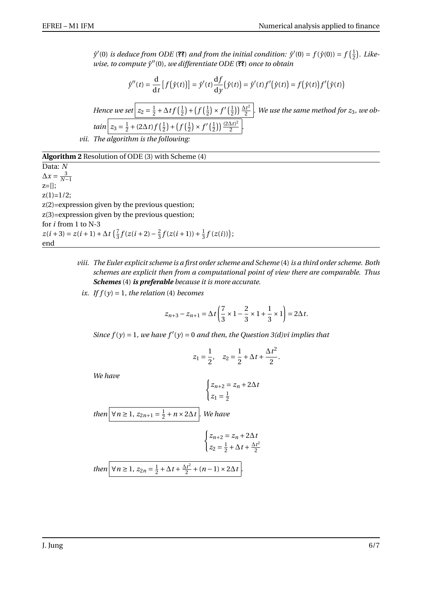$\hat{y}'(0)$  *is deduce from ODE* (??) *and from the initial condition:*  $\hat{y}'(0) = f(\hat{y}(0)) = f(\frac{1}{2})$ 2 ¢ *. Likewise, to compute y*ˆ <sup>00</sup>(0)*, we differentiate ODE* (**??**) *once to obtain*

$$
\hat{y}''(t) = \frac{\mathrm{d}}{\mathrm{d}t} \left[ f(\hat{y}(t)) \right] = \hat{y}'(t) \frac{\mathrm{d}f}{\mathrm{d}y} (\hat{y}(t)) = \hat{y}'(t) f'(\hat{y}(t)) = f(\hat{y}(t)) f'(\hat{y}(t))
$$

*Hence we set*  $z_2 = \frac{1}{2}$  $rac{1}{2} + \Delta t f\left(\frac{1}{2}\right)$  $(\frac{1}{2}) + (f(\frac{1}{2})))$  $\frac{1}{2}$   $\times$   $f'(\frac{1}{2})$  $\frac{1}{2})\frac{\Delta t^2}{2}$ 2 *. We use the same method for z*3*, we ob* $tain$   $z_3 = \frac{1}{2}$  $\frac{1}{2} + (2\Delta t) f(\frac{1}{2})$  $(\frac{1}{2}) + (f(\frac{1}{2})))$  $\frac{1}{2}$   $\times$   $f'(\frac{1}{2})$  $\frac{1}{2})\frac{(2\Delta t)^2}{2}$  $\frac{\Delta U}{2}$ .

*vii. The algorithm is the following:*

**Algorithm 2** Resolution of ODE (3) with Scheme (4)

Data: *N*  $\Delta x = \frac{3}{N-1}$  $z=[]$ ;  $z(1)=1/2;$ z(2)=expression given by the previous question; z(3)=expression given by the previous question; for *i* from 1 to N-3  $z(i+3) = z(i+1)+\Delta t \left(\frac{7}{3}\right)$  $\frac{7}{3}f(z(i+2)-\frac{2}{3})$  $\frac{2}{3}f(z(i+1))+\frac{1}{3}$  $\frac{1}{3}f(z(i))$ ; end

- *viii. The Euler explicit scheme is a first order scheme and Scheme* (4) *is a third order scheme. Both schemes are explicit then from a computational point of view there are comparable. Thus Schemes* (4) *is preferable because it is more accurate.*
	- *ix. If*  $f(y) = 1$ *, the relation* (4) *becomes*

$$
z_{n+3} - z_{n+1} = \Delta t \left( \frac{7}{3} \times 1 - \frac{2}{3} \times 1 + \frac{1}{3} \times 1 \right) = 2\Delta t.
$$

*Since*  $f(y) = 1$ *, we have*  $f'(y) = 0$  *and then, the Question 3(d)vi implies that* 

$$
z_1 = \frac{1}{2}
$$
,  $z_2 = \frac{1}{2} + \Delta t + \frac{\Delta t^2}{2}$ .

*We have*

$$
\begin{cases} z_{n+2} = z_n + 2\Delta t \\ z_1 = \frac{1}{2} \end{cases}
$$

*then*  $\forall n \ge 1, z_{2n+1} = \frac{1}{2}$ 2 +*n* ×2∆*t . We have*

$$
\begin{cases} z_{n+2} = z_n + 2\Delta t \\ z_2 = \frac{1}{2} + \Delta t + \frac{\Delta t^2}{2} \end{cases}
$$
  
then  $\nabla n \ge 1$ ,  $z_{2n} = \frac{1}{2} + \Delta t + \frac{\Delta t^2}{2} + (n-1) \times 2\Delta t$ .